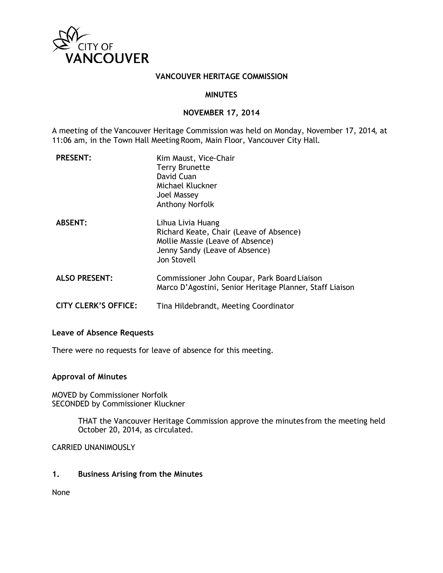

### **VANCOUVER HERITAGE COMMISSION**

### **MINUTES**

### **NOVEMBER 17, 2014**

A meeting of the Vancouver Heritage Commission was held on Monday, November 17, 2014, at 11:06 am, in the Town Hall Meeting Room, Main Floor, Vancouver City Hall.

| <b>PRESENT:</b>             | Kim Maust, Vice-Chair<br><b>Terry Brunette</b><br>David Cuan<br>Michael Kluckner<br>Joel Massey<br>Anthony Norfolk                                |
|-----------------------------|---------------------------------------------------------------------------------------------------------------------------------------------------|
| <b>ABSENT:</b>              | Lihua Livia Huang<br>Richard Keate, Chair (Leave of Absence)<br>Mollie Massie (Leave of Absence)<br>Jenny Sandy (Leave of Absence)<br>Jon Stovell |
| <b>ALSO PRESENT:</b>        | Commissioner John Coupar, Park Board Liaison<br>Marco D'Agostini, Senior Heritage Planner, Staff Liaison                                          |
| <b>CITY CLERK'S OFFICE:</b> | Tina Hildebrandt, Meeting Coordinator                                                                                                             |

## **Leave of Absence Requests**

There were no requests for leave of absence for this meeting.

#### **Approval of Minutes**

MOVED by Commissioner Norfolk SECONDED by Commissioner Kluckner

> THAT the Vancouver Heritage Commission approve the minutes from the meeting held October 20, 2014, as circulated.

CARRIED UNANIMOUSLY

# **1. Business Arising from the Minutes**

None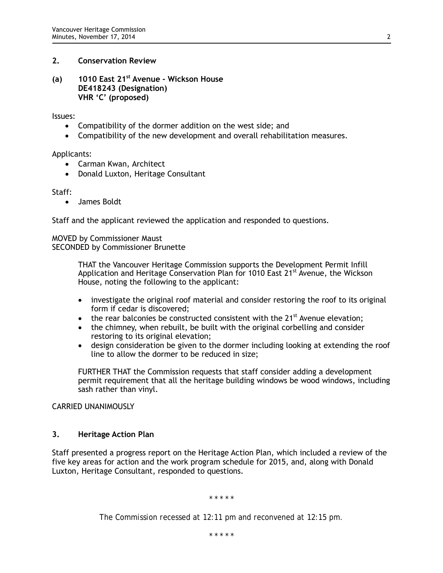# **2. Conservation Review**

**(a) 1010 East 21st Avenue - Wickson House DE418243 (Designation) VHR 'C' (proposed)**

Issues:

- Compatibility of the dormer addition on the west side; and
- Compatibility of the new development and overall rehabilitation measures.

Applicants:

- Carman Kwan, Architect
- Donald Luxton, Heritage Consultant

Staff:

• James Boldt

Staff and the applicant reviewed the application and responded to questions.

MOVED by Commissioner Maust SECONDED by Commissioner Brunette

> THAT the Vancouver Heritage Commission supports the Development Permit Infill Application and Heritage Conservation Plan for 1010 East 21<sup>st</sup> Avenue, the Wickson House, noting the following to the applicant:

- investigate the original roof material and consider restoring the roof to its original form if cedar is discovered;
- the rear balconies be constructed consistent with the  $21<sup>st</sup>$  Avenue elevation;
- the chimney, when rebuilt, be built with the original corbelling and consider restoring to its original elevation;
- design consideration be given to the dormer including looking at extending the roof line to allow the dormer to be reduced in size;

FURTHER THAT the Commission requests that staff consider adding a development permit requirement that all the heritage building windows be wood windows, including sash rather than vinyl.

CARRIED UNANIMOUSLY

### **3. Heritage Action Plan**

Staff presented a progress report on the Heritage Action Plan, which included a review of the five key areas for action and the work program schedule for 2015, and, along with Donald Luxton, Heritage Consultant, responded to questions.

*\* \* \* \* \**

*The Commission recessed at 12:11 pm and reconvened at 12:15 pm.*